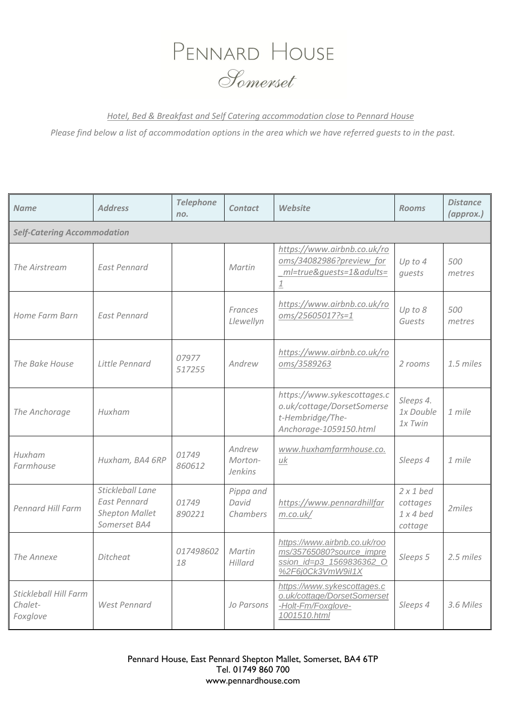## PENNARD HOUSE Somenset

*Hotel, Bed & Breakfast and Self Catering accommodation close to Pennard House*

*Please find below a list of accommodation options in the area which we have referred guests to in the past.* 

| <b>Name</b>                                  | <b>Address</b>                                                                   | <b>Telephone</b><br>no. | <b>Contact</b>                      | Website                                                                                                          | <b>Rooms</b>                                         | <b>Distance</b><br>(approx.) |  |
|----------------------------------------------|----------------------------------------------------------------------------------|-------------------------|-------------------------------------|------------------------------------------------------------------------------------------------------------------|------------------------------------------------------|------------------------------|--|
| <b>Self-Catering Accommodation</b>           |                                                                                  |                         |                                     |                                                                                                                  |                                                      |                              |  |
| The Airstream                                | <b>East Pennard</b>                                                              |                         | Martin                              | https://www.airbnb.co.uk/ro<br>oms/34082986?preview for<br>ml=true&quests=1&adults=<br>$\underline{\mathbbm{1}}$ | Up to $4$<br>quests                                  | 500<br>metres                |  |
| Home Farm Barn                               | <b>East Pennard</b>                                                              |                         | Frances<br>Llewellyn                | https://www.airbnb.co.uk/ro<br>oms/25605017?s=1                                                                  | Up to 8<br>Guests                                    | 500<br>metres                |  |
| The Bake House                               | Little Pennard                                                                   | 07977<br>517255         | Andrew                              | https://www.airbnb.co.uk/ro<br>oms/3589263                                                                       | 2 rooms                                              | 1.5 miles                    |  |
| The Anchorage                                | Huxham                                                                           |                         |                                     | https://www.sykescottages.c<br>o.uk/cottage/DorsetSomerse<br>t-Hembridge/The-<br>Anchorage-1059150.html          | Sleeps 4.<br>1x Double<br>$1x$ Twin                  | 1 mile                       |  |
| Huxham<br>Farmhouse                          | Huxham, BA4 6RP                                                                  | 01749<br>860612         | Andrew<br>Morton-<br><b>Jenkins</b> | www.huxhamfarmhouse.co.<br>uk                                                                                    | Sleeps 4                                             | 1 mile                       |  |
| Pennard Hill Farm                            | Stickleball Lane<br><b>East Pennard</b><br><b>Shepton Mallet</b><br>Somerset BA4 | 01749<br>890221         | Pippa and<br>David<br>Chambers      | https://www.pennardhillfar<br>m.co.uk/                                                                           | $2 \times 1$ bed<br>cottages<br>$1x4$ bed<br>cottage | 2miles                       |  |
| The Annexe                                   | Ditcheat                                                                         | 017498602<br>18         | Martin<br>Hillard                   | https://www.airbnb.co.uk/roo<br>ms/35765080?source_impre<br>ssion id=p3 1569836362 O<br>%2F6j0Ck3VmW9il1X        | Sleeps 5                                             | 2.5 miles                    |  |
| Stickleball Hill Farm<br>Chalet-<br>Foxglove | <b>West Pennard</b>                                                              |                         | Jo Parsons                          | https://www.sykescottages.c<br>o.uk/cottage/DorsetSomerset<br>-Holt-Fm/Foxglove-<br>1001510.html                 | Sleeps 4                                             | 3.6 Miles                    |  |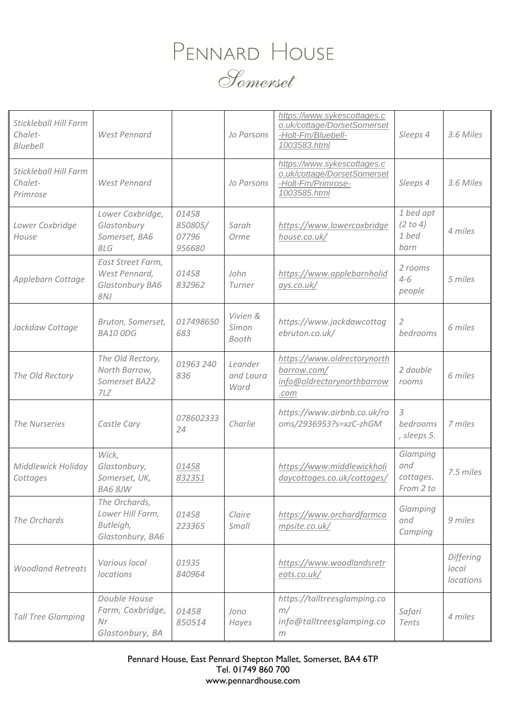## PENNARD HOUSE Somerset

| Stickleball Hill Farm<br>Chalet-<br>Bluebell | West Pennard                                                       |                                     | Jo Parsons                   | https://www.sykescottages.c<br>o.uk/cottage/DorsetSomerset<br>-Holt-Fm/Bluebell-<br>1003583.html | Sleeps 4                                  | 3.6 Miles                       |
|----------------------------------------------|--------------------------------------------------------------------|-------------------------------------|------------------------------|--------------------------------------------------------------------------------------------------|-------------------------------------------|---------------------------------|
| Stickleball Hill Farm<br>Chalet-<br>Primrose | West Pennard                                                       |                                     | Jo Parsons                   | https://www.sykescottages.c<br>o.uk/cottage/DorsetSomerset<br>-Holt-Fm/Primrose-<br>1003585.html | Sleeps 4                                  | 3.6 Miles                       |
| Lower Coxbridge<br>House                     | Lower Coxbridge,<br>Glastonbury<br>Somerset, BA6<br>8LG            | 01458<br>850805/<br>07796<br>956680 | Sarah<br>Orme                | https://www.lowercoxbridge<br>house.co.uk/                                                       | 1 bed apt<br>(2 to 4)<br>1 bed<br>barn    | 4 miles                         |
| Applebarn Cottage                            | East Street Farm,<br>West Pennard,<br>Glastonbury BA6<br>8NJ       | 01458<br>832962                     | John<br>Turner               | https://www.applebarnholid<br>ays.co.uk/                                                         | 2 rooms<br>$4 - 6$<br>people              | 5 miles                         |
| Jackdaw Cottage                              | Bruton, Somerset,<br><b>BA10 ODG</b>                               | 017498650<br>683                    | Vivien &<br>Simon<br>Booth   | https://www.jackdawcottag<br>ebruton.co.uk/                                                      | $\mathcal{L}$<br>bedrooms                 | 6 miles                         |
| The Old Rectory                              | The Old Rectory,<br>North Barrow,<br>Somerset BA22<br>7LZ          | 01963 240<br>836                    | Leander<br>and Laura<br>Ward | https://www.oldrectorynorth<br>barrow.com/<br>info@oldrectorynorthbarrow<br>.com                 | 2 double<br>rooms                         | 6 miles                         |
| The Nurseries                                | Castle Cary                                                        | 078602333<br>24                     | Charlie                      | https://www.airbnb.co.uk/ro<br>oms/2936953?s=xzC-zhGM                                            | 3<br>bedrooms<br>, sleeps 5.              | 7 miles                         |
| Middlewick Holiday<br>Cottages               | Wick,<br>Glastonbury,<br>Somerset, UK,<br>BA6 8JW                  | 01458<br>832351                     |                              | https://www.middlewickholi<br>daycottages.co.uk/cottages/                                        | Glamping<br>and<br>cottages.<br>From 2 to | 7.5 miles                       |
| The Orchards                                 | The Orchards,<br>Lower Hill Farm,<br>Butleigh,<br>Glastonbury, BA6 | 01458<br>223365                     | Claire<br>Small              | https://www.orchardfarmca<br>mpsite.co.uk/                                                       | Glamping<br>and<br>Camping                | 9 miles                         |
| <b>Woodland Retreats</b>                     | Various local<br><i>locations</i>                                  | 01935<br>840964                     |                              | https://www.woodlandsretr<br>eats.co.uk/                                                         |                                           | Differing<br>local<br>locations |
| <b>Tall Tree Glamping</b>                    | Double House<br>Farm, Coxbridge,<br>Nr<br>Glastonbury, BA          | 01458<br>850514                     | Jono<br>Hayes                | https://talltreesglamping.co<br>m/<br>info@talltreesglamping.co<br>m                             | Safari<br>Tents                           | 4 miles                         |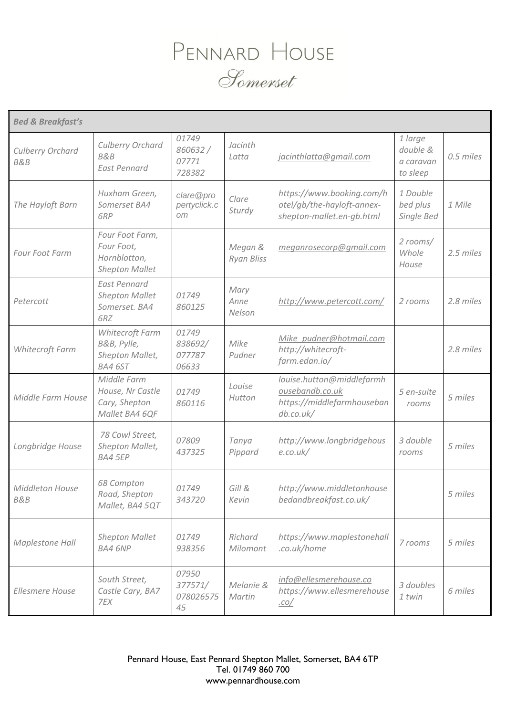

| <b>Bed &amp; Breakfast's</b>       |                                                                        |                                     |                              |                                                                                         |                                              |           |
|------------------------------------|------------------------------------------------------------------------|-------------------------------------|------------------------------|-----------------------------------------------------------------------------------------|----------------------------------------------|-----------|
| Culberry Orchard<br><b>B&amp;B</b> | Culberry Orchard<br><b>B&amp;B</b><br><b>East Pennard</b>              | 01749<br>860632/<br>07771<br>728382 | Jacinth<br>Latta             | jacinthlatta@gmail.com                                                                  | 1 large<br>double &<br>a caravan<br>to sleep | 0.5 miles |
| The Hayloft Barn                   | Huxham Green,<br>Somerset BA4<br>6RP                                   | clare@pro<br>pertyclick.c<br>om     | Clare<br>Sturdy              | https://www.booking.com/h<br>otel/gb/the-hayloft-annex-<br>shepton-mallet.en-gb.html    | 1 Double<br>bed plus<br>Single Bed           | 1 Mile    |
| Four Foot Farm                     | Four Foot Farm,<br>Four Foot,<br>Hornblotton,<br><b>Shepton Mallet</b> |                                     | Megan &<br><b>Ryan Bliss</b> | meganrosecorp@gmail.com                                                                 | 2 rooms/<br>Whole<br>House                   | 2.5 miles |
| Petercott                          | <b>East Pennard</b><br><b>Shepton Mallet</b><br>Somerset. BA4<br>6RZ   | 01749<br>860125                     | Mary<br>Anne<br>Nelson       | http://www.petercott.com/                                                               | 2 rooms                                      | 2.8 miles |
| Whitecroft Farm                    | Whitecroft Farm<br>B&B, Pylle,<br>Shepton Mallet,<br>BA4 6ST           | 01749<br>838692/<br>077787<br>06633 | Mike<br>Pudner               | Mike pudner@hotmail.com<br>http://whitecroft-<br>farm.edan.io/                          |                                              | 2.8 miles |
| Middle Farm House                  | Middle Farm<br>House, Nr Castle<br>Cary, Shepton<br>Mallet BA4 6QF     | 01749<br>860116                     | Louise<br>Hutton             | louise.hutton@middlefarmh<br>ousebandb.co.uk<br>https://middlefarmhouseban<br>db.co.uk/ | 5 en-suite<br>rooms                          | 5 miles   |
| Longbridge House                   | 78 Cowl Street,<br>Shepton Mallet,<br><b>BA4 5EP</b>                   | 07809<br>437325                     | Tanya<br>Pippard             | http://www.longbridgehous<br>e.co.uk/                                                   | 3 double<br>rooms                            | 5 miles   |
| Middleton House<br><b>B&amp;B</b>  | 68 Compton<br>Road, Shepton<br>Mallet, BA4 5QT                         | 01749<br>343720                     | Gill &<br>Kevin              | http://www.middletonhouse<br>bedandbreakfast.co.uk/                                     |                                              | 5 miles   |
| Maplestone Hall                    | <b>Shepton Mallet</b><br><b>BA4 6NP</b>                                | 01749<br>938356                     | Richard<br>Milomont          | https://www.maplestonehall<br>.co.uk/home                                               | 7 rooms                                      | 5 miles   |
| Ellesmere House                    | South Street,<br>Castle Cary, BA7<br>7EX                               | 07950<br>377571/<br>078026575<br>45 | Melanie &<br>Martin          | info@ellesmerehouse.co<br>https://www.ellesmerehouse<br><u>.co/</u>                     | 3 doubles<br>1 twin                          | 6 miles   |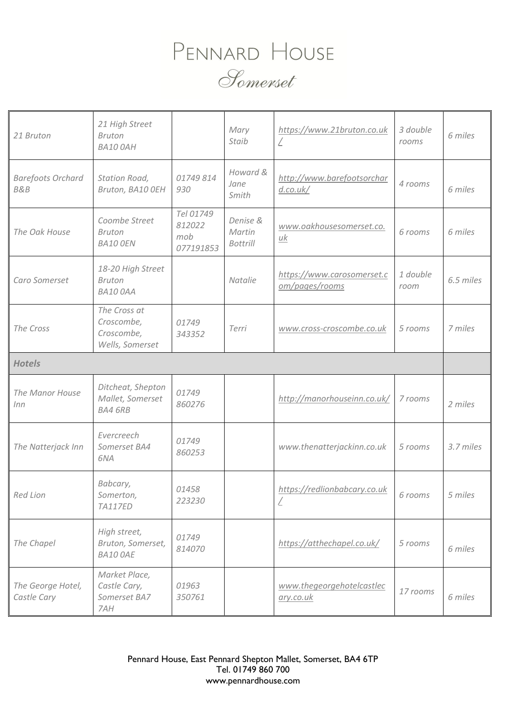## PENNARD HOUSE Somerset

| 21 Bruton                                  | 21 High Street<br><b>Bruton</b><br><b>BA10 OAH</b>          |                                         | Mary<br>Staib                         | https://www.21bruton.co.uk                   | 3 double<br>rooms | 6 miles   |
|--------------------------------------------|-------------------------------------------------------------|-----------------------------------------|---------------------------------------|----------------------------------------------|-------------------|-----------|
| <b>Barefoots Orchard</b><br><b>B&amp;B</b> | Station Road,<br>Bruton, BA10 OEH                           | 01749 814<br>930                        | Howard &<br>Jane<br>Smith             | http://www.barefootsorchar<br>d.co.uk/       | 4 rooms           | 6 miles   |
| The Oak House                              | Coombe Street<br><b>Bruton</b><br><b>BA10 OEN</b>           | Tel 01749<br>812022<br>mob<br>077191853 | Denise &<br>Martin<br><b>Bottrill</b> | www.oakhousesomerset.co.<br>uk               | 6 rooms           | 6 miles   |
| Caro Somerset                              | 18-20 High Street<br><b>Bruton</b><br><b>BA10 OAA</b>       |                                         | Natalie                               | https://www.carosomerset.c<br>om/pages/rooms | 1 double<br>room  | 6.5 miles |
| The Cross                                  | The Cross at<br>Croscombe,<br>Croscombe,<br>Wells, Somerset | 01749<br>343352                         | Terri                                 | www.cross-croscombe.co.uk                    | 5 rooms           | 7 miles   |
| <b>Hotels</b>                              |                                                             |                                         |                                       |                                              |                   |           |
| The Manor House<br>Inn                     | Ditcheat, Shepton<br>Mallet, Somerset<br><b>BA4 6RB</b>     | 01749<br>860276                         |                                       | http://manorhouseinn.co.uk/                  | 7 rooms           | 2 miles   |
| The Natterjack Inn                         | Evercreech<br>Somerset BA4<br>6NA                           | 01749<br>860253                         |                                       | www.thenatterjackinn.co.uk                   | 5 rooms           | 3.7 miles |
| <b>Red Lion</b>                            | Babcary,<br>Somerton,<br><b>TA117ED</b>                     | 01458<br>223230                         |                                       | https://redlionbabcary.co.uk<br>L            | b rooms           | 5 miles   |
| The Chapel                                 | High street,<br>Bruton, Somerset,<br><b>BA10 OAE</b>        | 01749<br>814070                         |                                       | https://atthechapel.co.uk/                   | 5 rooms           | 6 miles   |
| The George Hotel,<br>Castle Cary           | Market Place,<br>Castle Cary,<br>Somerset BA7<br>7AH        | 01963<br>350761                         |                                       | www.thegeorgehotelcastlec<br>ary.co.uk       | 17 rooms          | 6 miles   |